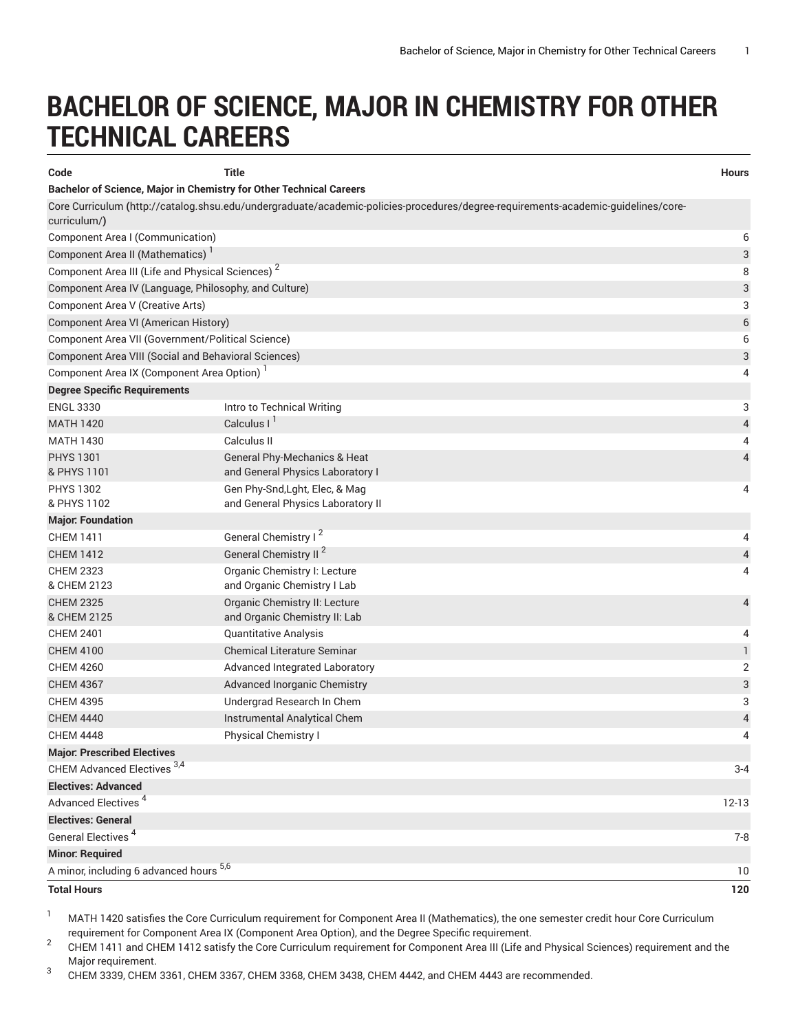## **BACHELOR OF SCIENCE, MAJOR IN CHEMISTRY FOR OTHER TECHNICAL CAREERS**

| Code                                                                                                                                              | <b>Title</b>                                                   | <b>Hours</b> |  |  |
|---------------------------------------------------------------------------------------------------------------------------------------------------|----------------------------------------------------------------|--------------|--|--|
| Bachelor of Science, Major in Chemistry for Other Technical Careers                                                                               |                                                                |              |  |  |
| Core Curriculum (http://catalog.shsu.edu/undergraduate/academic-policies-procedures/degree-requirements-academic-guidelines/core-<br>curriculum/) |                                                                |              |  |  |
| Component Area I (Communication)                                                                                                                  |                                                                | 6            |  |  |
| Component Area II (Mathematics)                                                                                                                   |                                                                | 3            |  |  |
| Component Area III (Life and Physical Sciences) <sup>2</sup>                                                                                      |                                                                | 8            |  |  |
| Component Area IV (Language, Philosophy, and Culture)                                                                                             |                                                                |              |  |  |
| Component Area V (Creative Arts)                                                                                                                  |                                                                |              |  |  |
| Component Area VI (American History)                                                                                                              |                                                                |              |  |  |
| Component Area VII (Government/Political Science)                                                                                                 |                                                                |              |  |  |
| Component Area VIII (Social and Behavioral Sciences)                                                                                              |                                                                | 3            |  |  |
| Component Area IX (Component Area Option)                                                                                                         |                                                                | 4            |  |  |
| <b>Degree Specific Requirements</b>                                                                                                               |                                                                |              |  |  |
| <b>ENGL 3330</b>                                                                                                                                  | Intro to Technical Writing                                     | 3            |  |  |
| <b>MATH 1420</b>                                                                                                                                  | Calculus I <sup>I</sup>                                        | 4            |  |  |
| <b>MATH 1430</b>                                                                                                                                  | Calculus II                                                    | 4            |  |  |
| <b>PHYS 1301</b>                                                                                                                                  | <b>General Phy-Mechanics &amp; Heat</b>                        | 4            |  |  |
| & PHYS 1101                                                                                                                                       | and General Physics Laboratory I                               |              |  |  |
| <b>PHYS 1302</b>                                                                                                                                  | Gen Phy-Snd, Lght, Elec, & Mag                                 | 4            |  |  |
| & PHYS 1102                                                                                                                                       | and General Physics Laboratory II                              |              |  |  |
| <b>Major: Foundation</b>                                                                                                                          |                                                                |              |  |  |
| <b>CHEM 1411</b>                                                                                                                                  | General Chemistry I <sup>2</sup>                               | 4            |  |  |
| <b>CHEM 1412</b>                                                                                                                                  | General Chemistry II <sup>2</sup>                              | 4            |  |  |
| <b>CHEM 2323</b><br>& CHEM 2123                                                                                                                   | Organic Chemistry I: Lecture<br>and Organic Chemistry I Lab    | 4            |  |  |
| <b>CHEM 2325</b><br>& CHEM 2125                                                                                                                   | Organic Chemistry II: Lecture<br>and Organic Chemistry II: Lab | 4            |  |  |
| <b>CHEM 2401</b>                                                                                                                                  | <b>Quantitative Analysis</b>                                   | 4            |  |  |
| <b>CHEM 4100</b>                                                                                                                                  | <b>Chemical Literature Seminar</b>                             | $\mathbf{1}$ |  |  |
| <b>CHEM 4260</b>                                                                                                                                  | Advanced Integrated Laboratory                                 | 2            |  |  |
| <b>CHEM 4367</b>                                                                                                                                  | Advanced Inorganic Chemistry                                   | 3            |  |  |
| <b>CHEM 4395</b>                                                                                                                                  | Undergrad Research In Chem                                     | 3            |  |  |
| <b>CHEM 4440</b>                                                                                                                                  | Instrumental Analytical Chem                                   | 4            |  |  |
| <b>CHEM 4448</b>                                                                                                                                  | Physical Chemistry I                                           | 4            |  |  |
| <b>Major: Prescribed Electives</b>                                                                                                                |                                                                |              |  |  |
| CHEM Advanced Electives <sup>3,4</sup>                                                                                                            |                                                                | $3 - 4$      |  |  |
| <b>Electives: Advanced</b>                                                                                                                        |                                                                |              |  |  |
| Advanced Electives <sup>4</sup>                                                                                                                   |                                                                | 12-13        |  |  |
| <b>Electives: General</b>                                                                                                                         |                                                                |              |  |  |
| General Electives <sup>4</sup>                                                                                                                    |                                                                | $7 - 8$      |  |  |
| <b>Minor: Required</b>                                                                                                                            |                                                                |              |  |  |
| A minor, including 6 advanced hours 5,6                                                                                                           |                                                                |              |  |  |
| <b>Total Hours</b>                                                                                                                                |                                                                | 120          |  |  |

<sup>1</sup> MATH 1420 satisfies the Core Curriculum requirement for Component Area II (Mathematics), the one semester credit hour Core Curriculum requirement for Component Area IX (Component Area Option), and the Degree Specific requirement.

2 CHEM 1411 and CHEM 1412 satisfy the Core Curriculum requirement for Component Area III (Life and Physical Sciences) requirement and the Major requirement.

3 CHEM 3339, CHEM 3361, CHEM 3367, CHEM 3368, CHEM 3438, CHEM 4442, and CHEM 4443 are recommended.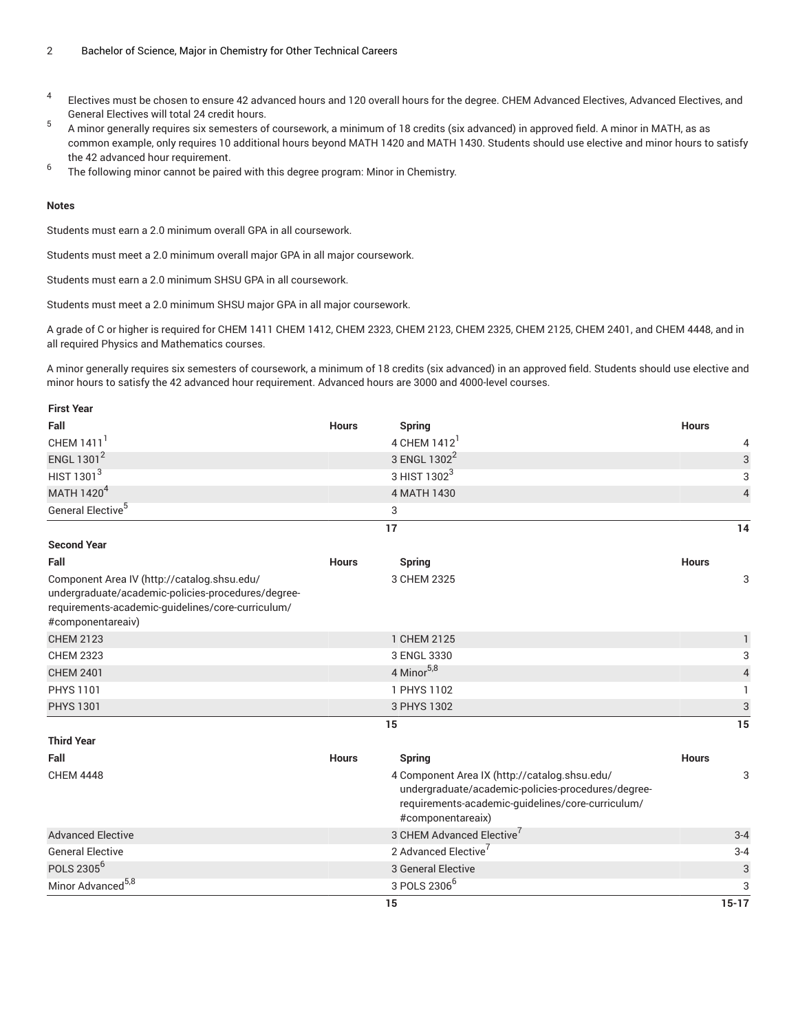- 4 Electives must be chosen to ensure 42 advanced hours and 120 overall hours for the degree. CHEM Advanced Electives, Advanced Electives, and General Electives will total 24 credit hours.
- 5 A minor generally requires six semesters of coursework, a minimum of 18 credits (six advanced) in approved field. A minor in MATH, as as common example, only requires 10 additional hours beyond MATH 1420 and MATH 1430. Students should use elective and minor hours to satisfy the 42 advanced hour requirement.
- 6 The following minor cannot be paired with this degree program: Minor in Chemistry.

## **Notes**

Students must earn a 2.0 minimum overall GPA in all coursework.

Students must meet a 2.0 minimum overall major GPA in all major coursework.

Students must earn a 2.0 minimum SHSU GPA in all coursework.

Students must meet a 2.0 minimum SHSU major GPA in all major coursework.

A grade of C or higher is required for CHEM 1411 CHEM 1412, CHEM 2323, CHEM 2123, CHEM 2325, CHEM 2125, CHEM 2401, and CHEM 4448, and in all required Physics and Mathematics courses.

A minor generally requires six semesters of coursework, a minimum of 18 credits (six advanced) in an approved field. Students should use elective and minor hours to satisfy the 42 advanced hour requirement. Advanced hours are 3000 and 4000-level courses.

| <b>First Year</b>                                                                                                                                                           |              |                                                                                                                                                                               |              |                         |
|-----------------------------------------------------------------------------------------------------------------------------------------------------------------------------|--------------|-------------------------------------------------------------------------------------------------------------------------------------------------------------------------------|--------------|-------------------------|
| Fall                                                                                                                                                                        | <b>Hours</b> | <b>Spring</b>                                                                                                                                                                 | <b>Hours</b> |                         |
| CHEM 1411 <sup>1</sup>                                                                                                                                                      |              | 4 CHEM 1412                                                                                                                                                                   |              | 4                       |
| ENGL 1301 <sup>2</sup>                                                                                                                                                      |              | 3 ENGL 1302 <sup>2</sup>                                                                                                                                                      |              | 3                       |
| HIST 1301 <sup>3</sup>                                                                                                                                                      |              | 3 HIST 1302 <sup>3</sup>                                                                                                                                                      |              | 3                       |
| MATH 1420 <sup>4</sup>                                                                                                                                                      |              | 4 MATH 1430                                                                                                                                                                   |              | $\overline{\mathbf{4}}$ |
| General Elective <sup>5</sup>                                                                                                                                               |              | 3                                                                                                                                                                             |              |                         |
|                                                                                                                                                                             |              | 17                                                                                                                                                                            |              | 14                      |
| <b>Second Year</b>                                                                                                                                                          |              |                                                                                                                                                                               |              |                         |
| Fall                                                                                                                                                                        | <b>Hours</b> | <b>Spring</b>                                                                                                                                                                 | <b>Hours</b> |                         |
| Component Area IV (http://catalog.shsu.edu/<br>undergraduate/academic-policies-procedures/degree-<br>requirements-academic-guidelines/core-curriculum/<br>#componentareaiv) |              | 3 CHEM 2325                                                                                                                                                                   |              | 3                       |
| <b>CHEM 2123</b>                                                                                                                                                            |              | 1 CHEM 2125                                                                                                                                                                   |              | $\mathbf{1}$            |
| <b>CHEM 2323</b>                                                                                                                                                            |              | 3 ENGL 3330                                                                                                                                                                   |              | 3                       |
| <b>CHEM 2401</b>                                                                                                                                                            |              | 4 Minor <sup>5,8</sup>                                                                                                                                                        |              | $\sqrt{4}$              |
| <b>PHYS 1101</b>                                                                                                                                                            |              | 1 PHYS 1102                                                                                                                                                                   |              | $\mathbf{1}$            |
| <b>PHYS 1301</b>                                                                                                                                                            |              | 3 PHYS 1302                                                                                                                                                                   |              | $\sqrt{3}$              |
|                                                                                                                                                                             |              | 15                                                                                                                                                                            |              | 15                      |
| <b>Third Year</b>                                                                                                                                                           |              |                                                                                                                                                                               |              |                         |
| Fall                                                                                                                                                                        | <b>Hours</b> | <b>Spring</b>                                                                                                                                                                 | <b>Hours</b> |                         |
| <b>CHEM 4448</b>                                                                                                                                                            |              | 4 Component Area IX (http://catalog.shsu.edu/<br>undergraduate/academic-policies-procedures/degree-<br>requirements-academic-guidelines/core-curriculum/<br>#componentareaix) |              | 3                       |
| <b>Advanced Elective</b>                                                                                                                                                    |              | 3 CHEM Advanced Elective                                                                                                                                                      |              | $3 - 4$                 |
| <b>General Elective</b>                                                                                                                                                     |              | 2 Advanced Elective <sup>7</sup>                                                                                                                                              |              | $3 - 4$                 |
| POLS 2305 <sup>6</sup>                                                                                                                                                      |              | 3 General Elective                                                                                                                                                            |              | $\sqrt{3}$              |
| Minor Advanced <sup>5,8</sup>                                                                                                                                               |              | 3 POLS 2306 <sup>6</sup>                                                                                                                                                      |              | 3                       |